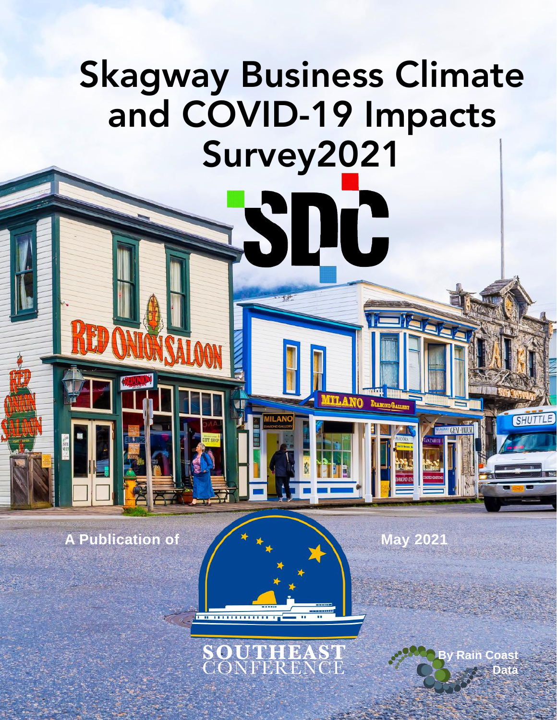# Skagway Business Climate and COVID-19 Impacts Survey2021

S

DC

**MILANO** 

DIAMOND GAL

A Publication of  $\overline{\phantom{a}}$   $\overline{\phantom{a}}$   $\overline{\phantom{a}}$  May 2021



<del>. . . . . . . . . . . . . .</del> .

Coas<sup>t</sup> **Data**

**ENGINEER** 

**SHUTTL**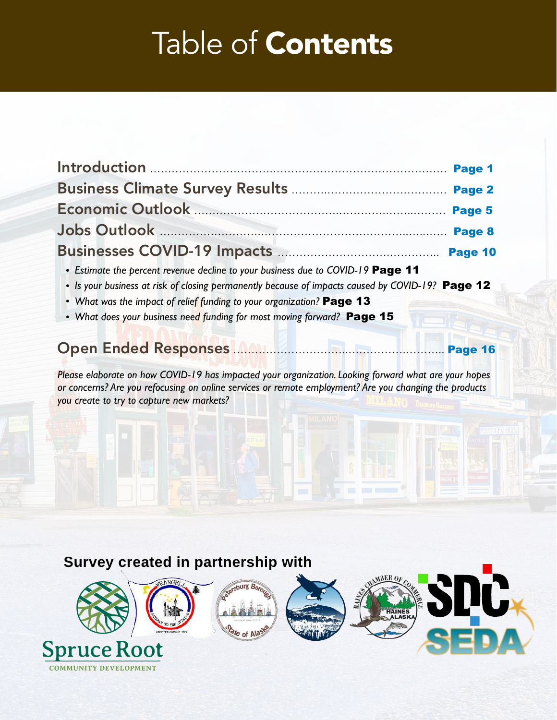## Table of Contents

|                                                                                                  | Page 10 |
|--------------------------------------------------------------------------------------------------|---------|
| • Estimate the percent revenue decline to your business due to COVID-19 Page 11                  |         |
| . Is your business at risk of closing permanently because of impacts caused by COVID-19? Page 12 |         |
| • What was the impact of relief funding to your organization? Page 13                            |         |
| • What does your business need funding for most moving forward? Page 15                          |         |

### Open Ended Responses …………………………..…………….……….. Page 16

*Please elaborate on how COVID-19 has impacted your organization. Looking forward what are your hopes or concerns? Are you refocusing on online services or remote employment? Are you changing the products you create to try to capture new markets?* 

#### **Survey created in partnership with**

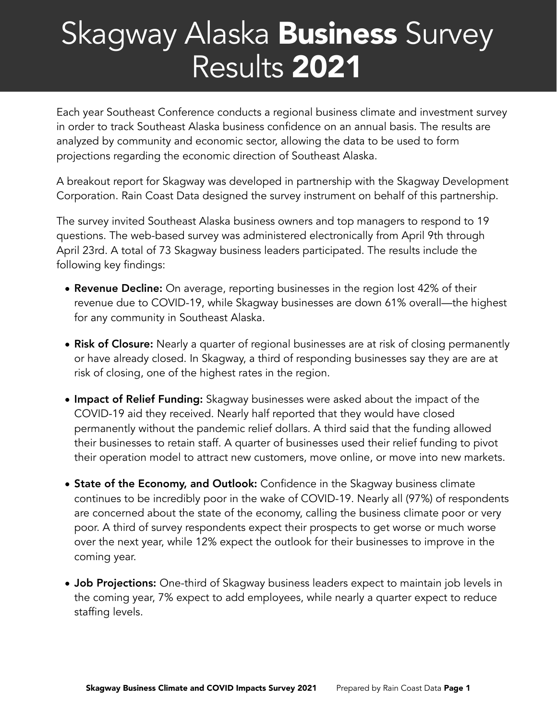## Skagway Alaska Business Survey Results 2021

Each year Southeast Conference conducts a regional business climate and investment survey in order to track Southeast Alaska business confidence on an annual basis. The results are analyzed by community and economic sector, allowing the data to be used to form projections regarding the economic direction of Southeast Alaska.

A breakout report for Skagway was developed in partnership with the Skagway Development Corporation. Rain Coast Data designed the survey instrument on behalf of this partnership.

The survey invited Southeast Alaska business owners and top managers to respond to 19 questions. The web-based survey was administered electronically from April 9th through April 23rd. A total of 73 Skagway business leaders participated. The results include the following key findings:

- Revenue Decline: On average, reporting businesses in the region lost 42% of their revenue due to COVID-19, while Skagway businesses are down 61% overall—the highest for any community in Southeast Alaska.
- Risk of Closure: Nearly a quarter of regional businesses are at risk of closing permanently or have already closed. In Skagway, a third of responding businesses say they are are at risk of closing, one of the highest rates in the region.
- Impact of Relief Funding: Skagway businesses were asked about the impact of the COVID-19 aid they received. Nearly half reported that they would have closed permanently without the pandemic relief dollars. A third said that the funding allowed their businesses to retain staff. A quarter of businesses used their relief funding to pivot their operation model to attract new customers, move online, or move into new markets.
- State of the Economy, and Outlook: Confidence in the Skagway business climate continues to be incredibly poor in the wake of COVID-19. Nearly all (97%) of respondents are concerned about the state of the economy, calling the business climate poor or very poor. A third of survey respondents expect their prospects to get worse or much worse over the next year, while 12% expect the outlook for their businesses to improve in the coming year.
- **Job Projections:** One-third of Skagway business leaders expect to maintain job levels in the coming year, 7% expect to add employees, while nearly a quarter expect to reduce staffing levels.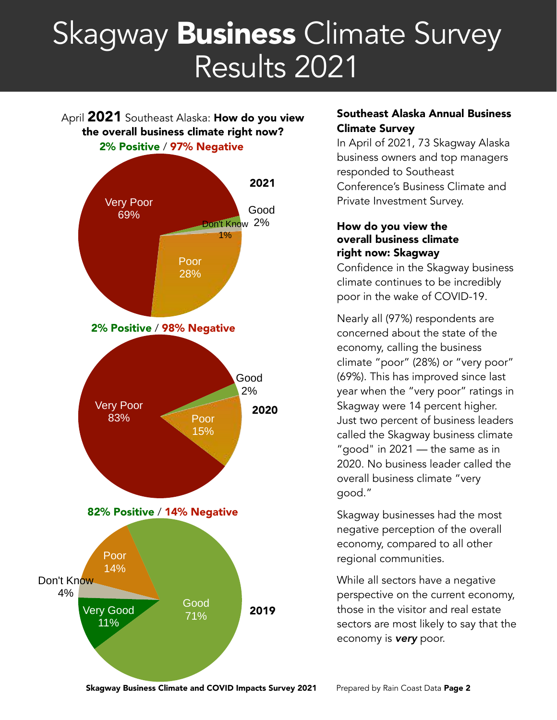## Skagway Business Climate Survey Results 2021

April 2021 Southeast Alaska: How do you view the overall business climate right now? 2% Positive / 97% Negative



#### Southeast Alaska Annual Business Climate Survey

In April of 2021, 73 Skagway Alaska business owners and top managers responded to Southeast Conference's Business Climate and Private Investment Survey.

#### How do you view the overall business climate right now: Skagway

Confidence in the Skagway business climate continues to be incredibly poor in the wake of COVID-19.

Nearly all (97%) respondents are concerned about the state of the economy, calling the business climate "poor" (28%) or "very poor" (69%). This has improved since last year when the "very poor" ratings in Skagway were 14 percent higher. Just two percent of business leaders called the Skagway business climate "good" in 2021 — the same as in 2020. No business leader called the overall business climate "very good."

Skagway businesses had the most negative perception of the overall economy, compared to all other regional communities.

While all sectors have a negative perspective on the current economy, those in the visitor and real estate sectors are most likely to say that the economy is *very* poor.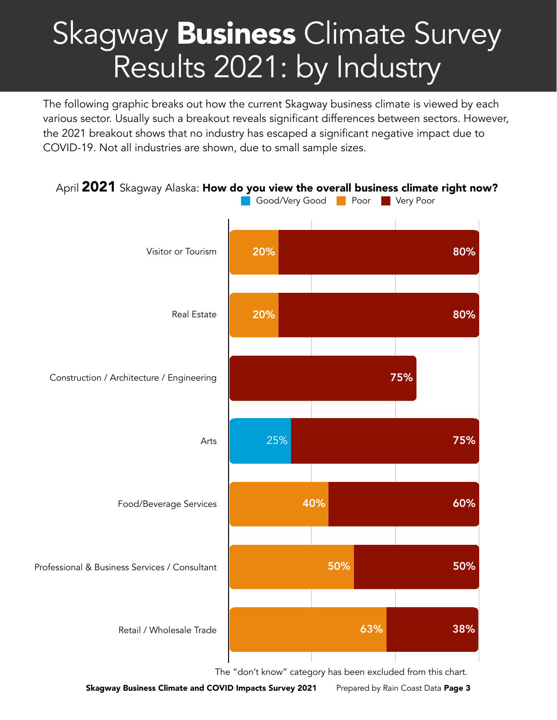# Skagway **Business** Climate Survey Results 2021: by Industry

The following graphic breaks out how the current Skagway business climate is viewed by each various sector. Usually such a breakout reveals significant differences between sectors. However, the 2021 breakout shows that no industry has escaped a significant negative impact due to COVID-19. Not all industries are shown, due to small sample sizes.



The "don't know" category has been excluded from this chart.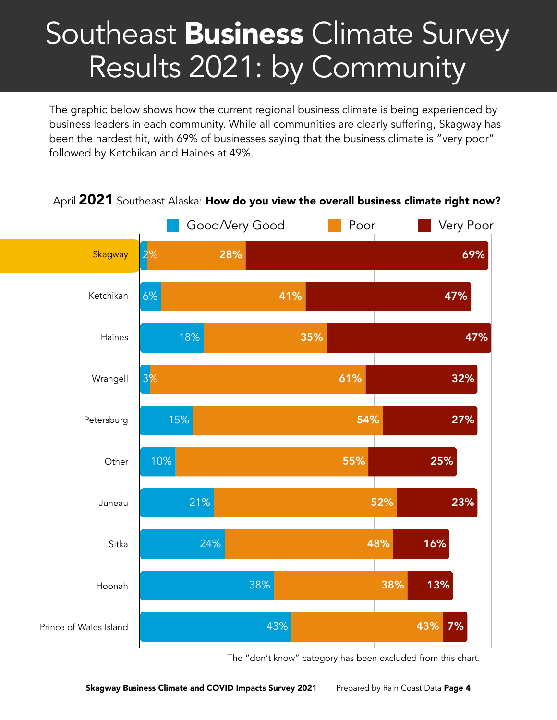## Southeast Business Climate Survey Results 2021: by Community

The graphic below shows how the current regional business climate is being experienced by business leaders in each community. While all communities are clearly suffering, Skagway has been the hardest hit, with 69% of businesses saying that the business climate is "very poor" followed by Ketchikan and Haines at 49%.



April 2021 Southeast Alaska: How do you view the overall business climate right now?

The "don't know" category has been excluded from this chart.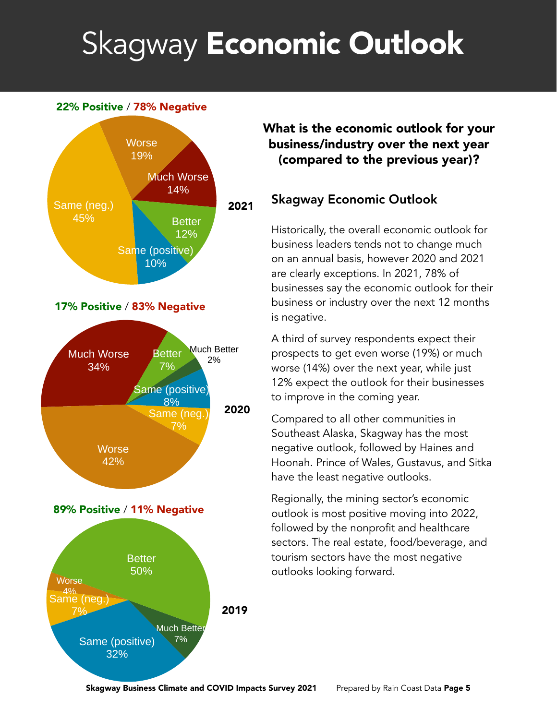# Skagway Economic Outlook

#### 22% Positive / 78% Negative



What is the economic outlook for your business/industry over the next year (compared to the previous year)?

#### Skagway Economic Outlook

Historically, the overall economic outlook for business leaders tends not to change much on an annual basis, however 2020 and 2021 are clearly exceptions. In 2021, 78% of businesses say the economic outlook for their business or industry over the next 12 months is negative.

A third of survey respondents expect their prospects to get even worse (19%) or much worse (14%) over the next year, while just 12% expect the outlook for their businesses to improve in the coming year.

Compared to all other communities in Southeast Alaska, Skagway has the most negative outlook, followed by Haines and Hoonah. Prince of Wales, Gustavus, and Sitka have the least negative outlooks.

Regionally, the mining sector's economic outlook is most positive moving into 2022, followed by the nonprofit and healthcare sectors. The real estate, food/beverage, and tourism sectors have the most negative outlooks looking forward.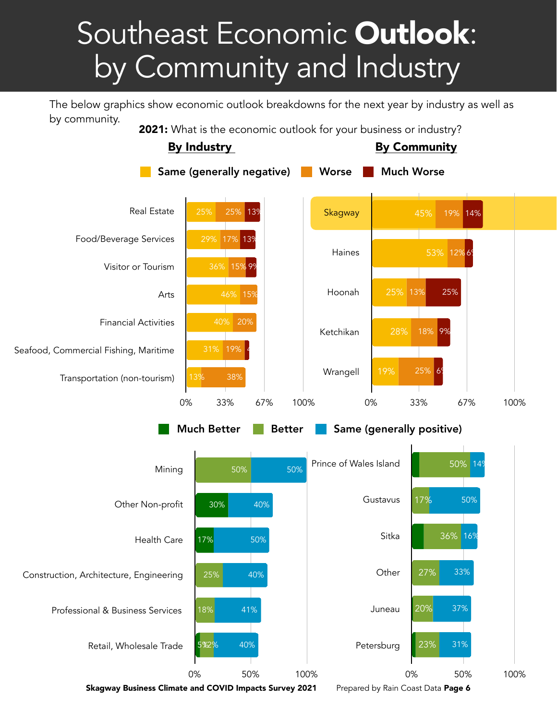# Southeast Economic Outlook: by Community and Industry

The below graphics show economic outlook breakdowns for the next year by industry as well as by community.

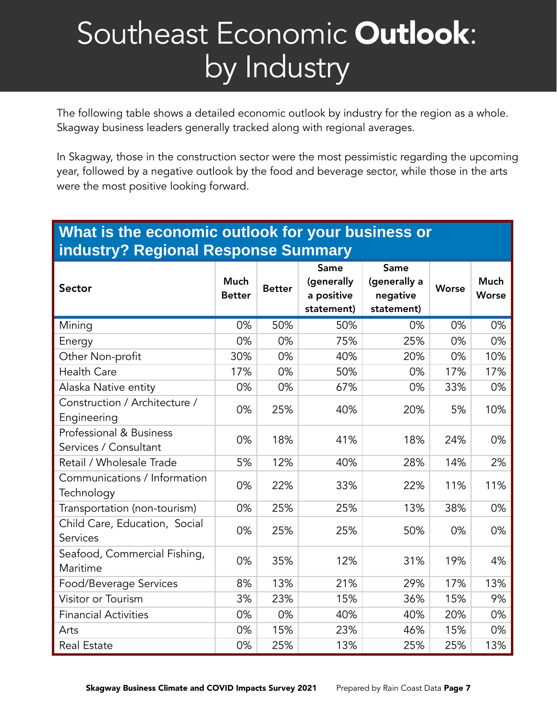# Southeast Economic Outlook: by Industry

The following table shows a detailed economic outlook by industry for the region as a whole. Skagway business leaders generally tracked along with regional averages.

In Skagway, those in the construction sector were the most pessimistic regarding the upcoming year, followed by a negative outlook by the food and beverage sector, while those in the arts were the most positive looking forward.

#### **What is the economic outlook for your business or industry? Regional Response Summary**

| Sector                                           | <b>Much</b><br><b>Better</b> | <b>Better</b> | Same<br>(generally<br>a positive<br>statement) | Same<br>(generally a<br>negative<br>statement) | <b>Worse</b> | <b>Much</b><br>Worse |
|--------------------------------------------------|------------------------------|---------------|------------------------------------------------|------------------------------------------------|--------------|----------------------|
| Mining                                           | 0%                           | 50%           | 50%                                            | 0%                                             | 0%           | 0%                   |
| Energy                                           | 0%                           | 0%            | 75%                                            | 25%                                            | 0%           | 0%                   |
| Other Non-profit                                 | 30%                          | 0%            | 40%                                            | 20%                                            | 0%           | 10%                  |
| <b>Health Care</b>                               | 17%                          | 0%            | 50%                                            | 0%                                             | 17%          | 17%                  |
| Alaska Native entity                             | 0%                           | 0%            | 67%                                            | 0%                                             | 33%          | 0%                   |
| Construction / Architecture /<br>Engineering     | 0%                           | 25%           | 40%                                            | 20%                                            | 5%           | 10%                  |
| Professional & Business<br>Services / Consultant | 0%                           | 18%           | 41%                                            | 18%                                            | 24%          | 0%                   |
| Retail / Wholesale Trade                         | 5%                           | 12%           | 40%                                            | 28%                                            | 14%          | 2%                   |
| Communications / Information<br>Technology       | 0%                           | 22%           | 33%                                            | 22%                                            | 11%          | 11%                  |
| Transportation (non-tourism)                     | 0%                           | 25%           | 25%                                            | 13%                                            | 38%          | 0%                   |
| Child Care, Education, Social<br>Services        | 0%                           | 25%           | 25%                                            | 50%                                            | 0%           | 0%                   |
| Seafood, Commercial Fishing,<br>Maritime         | 0%                           | 35%           | 12%                                            | 31%                                            | 19%          | 4%                   |
| Food/Beverage Services                           | 8%                           | 13%           | 21%                                            | 29%                                            | 17%          | 13%                  |
| Visitor or Tourism                               | 3%                           | 23%           | 15%                                            | 36%                                            | 15%          | 9%                   |
| <b>Financial Activities</b>                      | 0%                           | 0%            | 40%                                            | 40%                                            | 20%          | 0%                   |
| Arts                                             | 0%                           | 15%           | 23%                                            | 46%                                            | 15%          | 0%                   |
| <b>Real Estate</b>                               | 0%                           | 25%           | 13%                                            | 25%                                            | 25%          | 13%                  |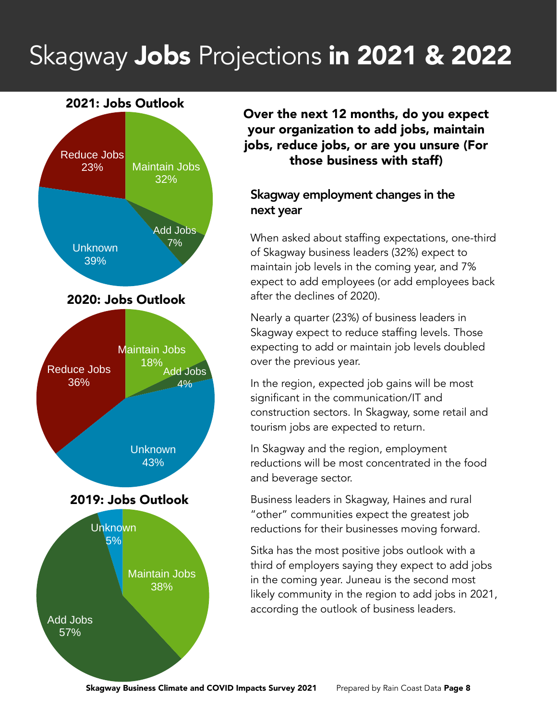### Skagway Jobs Projections in 2021 & 2022

#### 2021: Jobs Outlook



Over the next 12 months, do you expect your organization to add jobs, maintain jobs, reduce jobs, or are you unsure (For those business with staff)

#### Skagway employment changes in the next year

When asked about staffing expectations, one-third of Skagway business leaders (32%) expect to maintain job levels in the coming year, and 7% expect to add employees (or add employees back after the declines of 2020).

Nearly a quarter (23%) of business leaders in Skagway expect to reduce staffing levels. Those expecting to add or maintain job levels doubled over the previous year.

In the region, expected job gains will be most significant in the communication/IT and construction sectors. In Skagway, some retail and tourism jobs are expected to return.

In Skagway and the region, employment reductions will be most concentrated in the food and beverage sector.

Business leaders in Skagway, Haines and rural "other" communities expect the greatest job reductions for their businesses moving forward.

Sitka has the most positive jobs outlook with a third of employers saying they expect to add jobs in the coming year. Juneau is the second most likely community in the region to add jobs in 2021, according the outlook of business leaders.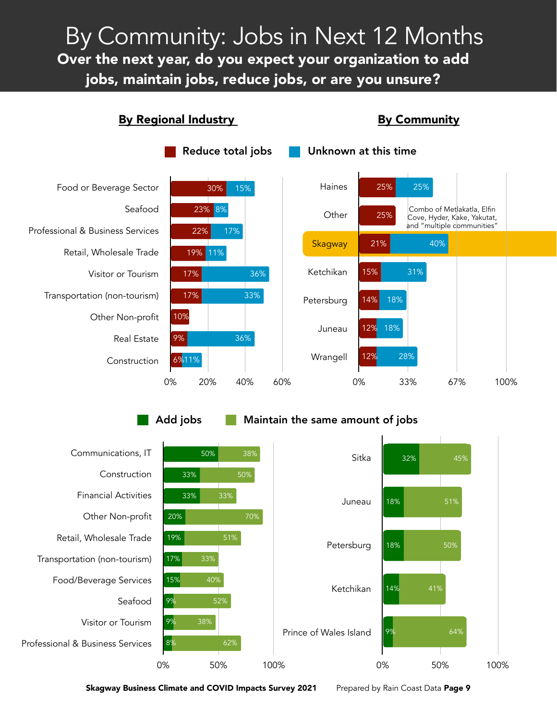jobs, maintain jobs, reduce jobs, or are you unsure<mark>?</mark> By Community: Jobs in Next 12 Months Over the next year, do you expect your organization to add

By Regional Industry **By Community** 



Add jobs Maintain the same amount of jobs

Communications, IT Construction Financial Activities Other Non-profit Retail, Wholesale Trade Transportation (non-tourism) Food/Beverage Services Seafood Visitor or Tourism Professional & Business Services 0% 50% 100% 62% 38% 52% 40% 33% 70% 33% 38% 8% 9% 9% 15% 17% 19% 20% 33% 33% 50% Sitka Juneau Petersburg Ketchikan Prince of Wales Island 0% 50% 100% 64% 41% 50% 51% 45% 9% 14% 18% 18% 32%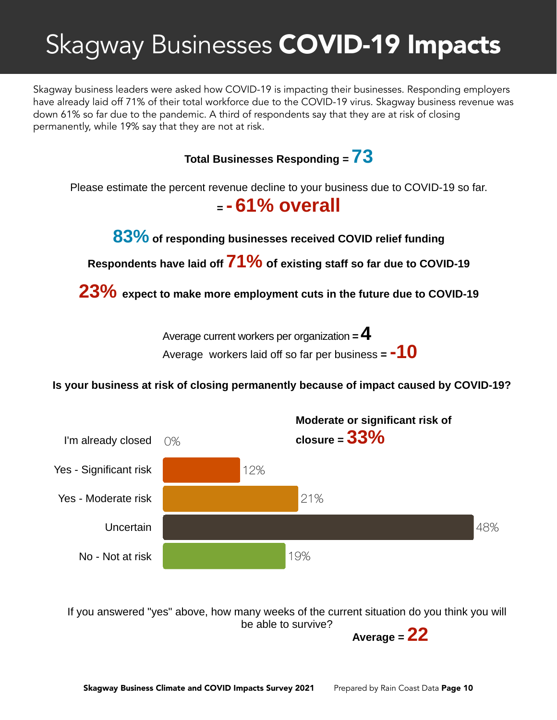### Skagway Businesses COVID-19 Impacts

Skagway business leaders were asked how COVID-19 is impacting their businesses. Responding employers have already laid off 71% of their total workforce due to the COVID-19 virus. Skagway business revenue was down 61% so far due to the pandemic. A third of respondents say that they are at risk of closing permanently, while 19% say that they are not at risk.



If you answered "yes" above, how many weeks of the current situation do you think you will be able to survive?

19%

No - Not at risk

**Average = 22**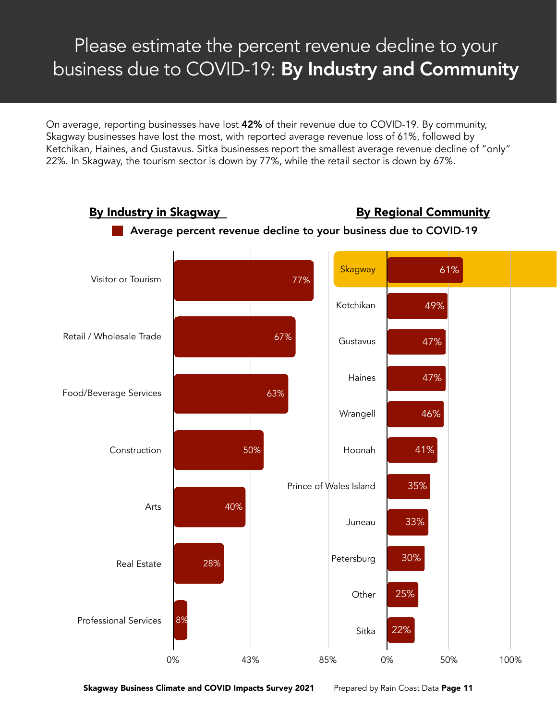### Please estimate the percent revenue decline to your business due to COVID-19: By Industry and Community

On average, reporting businesses have lost 42% of their revenue due to COVID-19. By community, Skagway businesses have lost the most, with reported average revenue loss of 61%, followed by Ketchikan, Haines, and Gustavus. Sitka businesses report the smallest average revenue decline of "only" 22%. In Skagway, the tourism sector is down by 77%, while the retail sector is down by 67%.

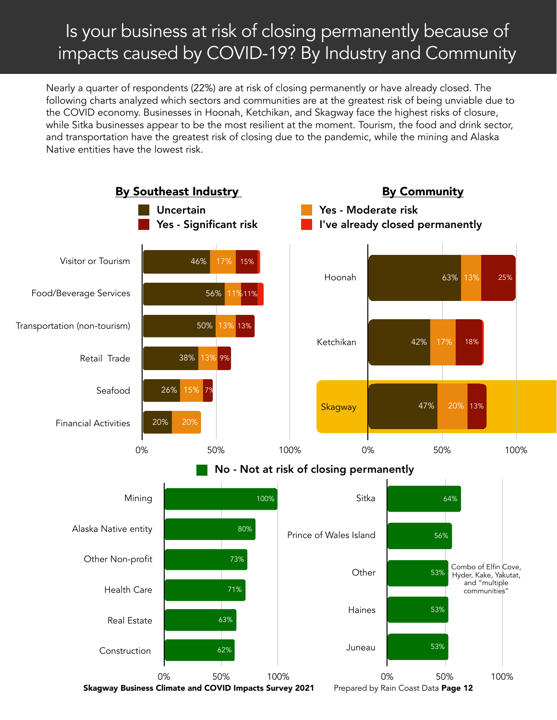### Is your business at risk of closing permanently because of impacts caused by COVID-19? By Industry and Community

Nearly a quarter of respondents (22%) are at risk of closing permanently or have already closed. The following charts analyzed which sectors and communities are at the greatest risk of being unviable due to the COVID economy. Businesses in Hoonah, Ketchikan, and Skagway face the highest risks of closure, while Sitka businesses appear to be the most resilient at the moment. Tourism, the food and drink sector, and transportation have the greatest risk of closing due to the pandemic, while the mining and Alaska Native entities have the lowest risk.

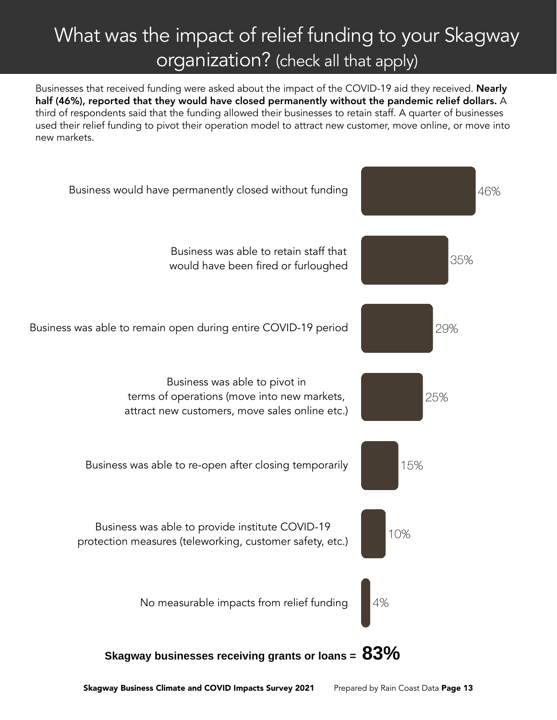### What was the impact of relief funding to your Skagway organization? (check all that apply)

Businesses that received funding were asked about the impact of the COVID-19 aid they received. **Nearly** half (46%), reported that they would have closed permanently without the pandemic relief dollars. A third of respondents said that the funding allowed their businesses to retain staff. A quarter of businesses used their relief funding to pivot their operation model to attract new customer, move online, or move into new markets.

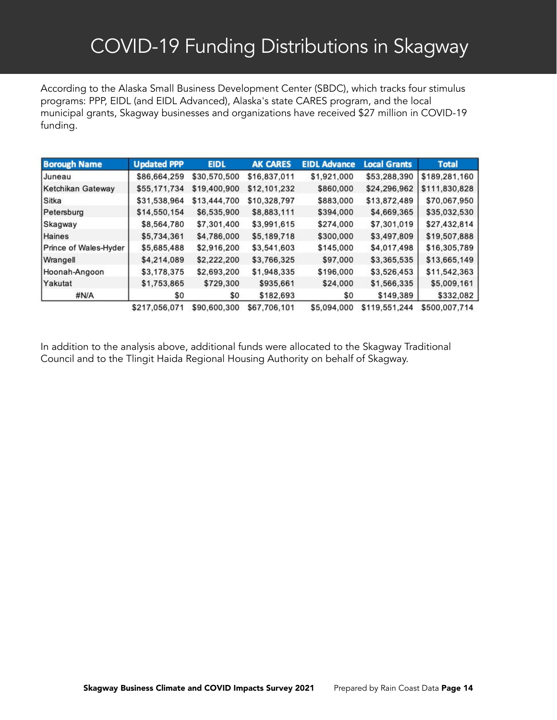According to the Alaska Small Business Development Center (SBDC), which tracks four stimulus programs: PPP, EIDL (and EIDL Advanced), Alaska's state CARES program, and the local municipal grants, Skagway businesses and organizations have received \$27 million in COVID-19 funding.

| <b>Borough Name</b>   | <b>Updated PPP</b> | <b>EIDL</b>  | <b>AK CARES</b> | <b>EIDL Advance</b> | <b>Local Grants</b> | <b>Total</b>  |
|-----------------------|--------------------|--------------|-----------------|---------------------|---------------------|---------------|
| IJuneau               | \$86,664,259       | \$30,570,500 | \$16,837,011    | \$1,921,000         | \$53,288,390        | \$189,281,160 |
| Ketchikan Gateway     | \$55,171,734       | \$19,400,900 | \$12,101,232    | \$860,000           | \$24,296,962        | \$111,830,828 |
| <b>Sitka</b>          | \$31,538,964       | \$13,444,700 | \$10,328,797    | \$883,000           | \$13,872,489        | \$70,067,950  |
| Petersburg            | \$14,550,154       | \$6,535,900  | \$8,883,111     | \$394,000           | \$4,669,365         | \$35,032,530  |
| Skagway               | \$8,564,780        | \$7,301,400  | \$3,991,615     | \$274,000           | \$7,301,019         | \$27,432,814  |
| <b>Haines</b>         | \$5,734,361        | \$4,786,000  | \$5,189,718     | \$300,000           | \$3,497,809         | \$19,507,888  |
| Prince of Wales-Hyder | \$5,685,488        | \$2,916,200  | \$3,541,603     | \$145,000           | \$4,017,498         | \$16,305,789  |
| Wrangell              | \$4,214,089        | \$2,222,200  | \$3,766,325     | \$97,000            | \$3,365,535         | \$13,665,149  |
| Hoonah-Angoon         | \$3,178,375        | \$2,693,200  | \$1,948,335     | \$196,000           | \$3,526,453         | \$11,542,363  |
| Yakutat               | \$1,753,865        | \$729,300    | \$935,661       | \$24,000            | \$1,566,335         | \$5,009,161   |
| #N/A                  | \$0                | SO.          | \$182,693       | \$0                 | \$149,389           | \$332,082     |
|                       | \$217.056.071      | \$90,600,300 | \$67,706,101    | \$5,094,000         | \$119,551,244       | \$500,007.714 |

In addition to the analysis above, additional funds were allocated to the Skagway Traditional Council and to the Tlingit Haida Regional Housing Authority on behalf of Skagway.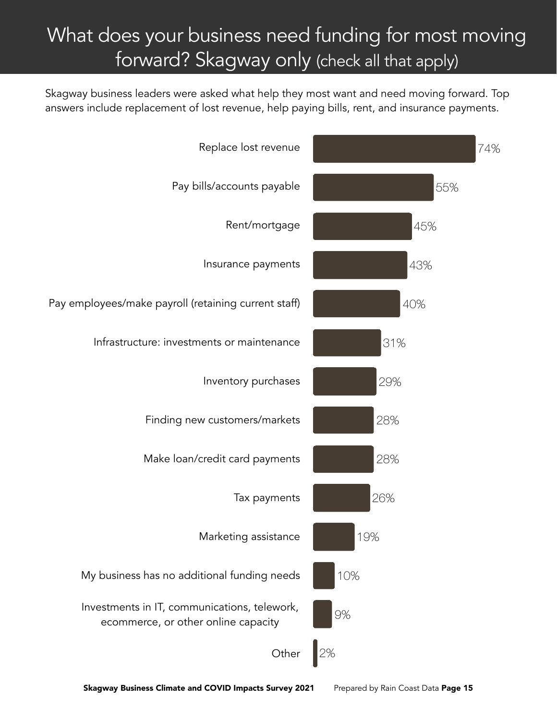### What does your business need funding for most moving forward? Skagway only (check all that apply)

Skagway business leaders were asked what help they most want and need moving forward. Top answers include replacement of lost revenue, help paying bills, rent, and insurance payments.

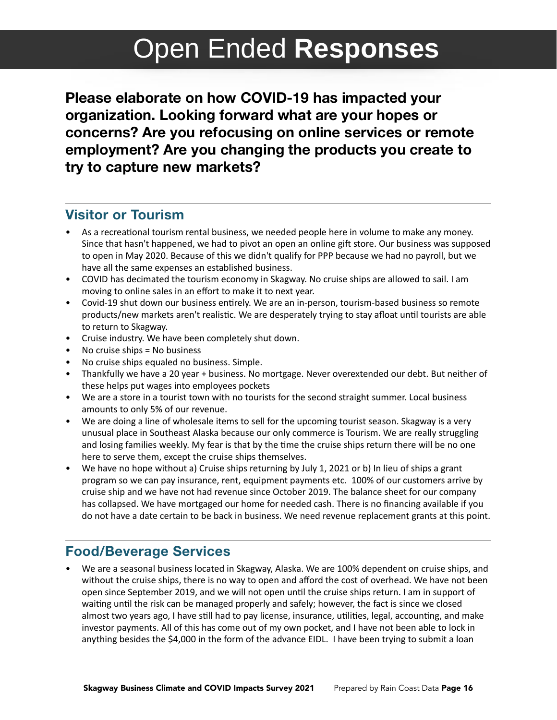### Open Ended **Responses**

**Please elaborate on how COVID-19 has impacted your organization. Looking forward what are your hopes or concerns? Are you refocusing on online services or remote employment? Are you changing the products you create to try to capture new markets?** 

#### **Visitor or Tourism**

- As a recreational tourism rental business, we needed people here in volume to make any money. Since that hasn't happened, we had to pivot an open an online gift store. Our business was supposed to open in May 2020. Because of this we didn't qualify for PPP because we had no payroll, but we have all the same expenses an established business.
- COVID has decimated the tourism economy in Skagway. No cruise ships are allowed to sail. I am moving to online sales in an effort to make it to next year.
- Covid-19 shut down our business entirely. We are an in-person, tourism-based business so remote products/new markets aren't realistic. We are desperately trying to stay afloat until tourists are able to return to Skagway.
- Cruise industry. We have been completely shut down.
- No cruise ships = No business
- No cruise ships equaled no business. Simple.
- Thankfully we have a 20 year + business. No mortgage. Never overextended our debt. But neither of these helps put wages into employees pockets
- We are a store in a tourist town with no tourists for the second straight summer. Local business amounts to only 5% of our revenue.
- We are doing a line of wholesale items to sell for the upcoming tourist season. Skagway is a very unusual place in Southeast Alaska because our only commerce is Tourism. We are really struggling and losing families weekly. My fear is that by the time the cruise ships return there will be no one here to serve them, except the cruise ships themselves.
- We have no hope without a) Cruise ships returning by July 1, 2021 or b) In lieu of ships a grant program so we can pay insurance, rent, equipment payments etc. 100% of our customers arrive by cruise ship and we have not had revenue since October 2019. The balance sheet for our company has collapsed. We have mortgaged our home for needed cash. There is no financing available if you do not have a date certain to be back in business. We need revenue replacement grants at this point.

#### **Food/Beverage Services**

• We are a seasonal business located in Skagway, Alaska. We are 100% dependent on cruise ships, and without the cruise ships, there is no way to open and afford the cost of overhead. We have not been open since September 2019, and we will not open until the cruise ships return. I am in support of waiting until the risk can be managed properly and safely; however, the fact is since we closed almost two years ago, I have still had to pay license, insurance, utilities, legal, accounting, and make investor payments. All of this has come out of my own pocket, and I have not been able to lock in anything besides the \$4,000 in the form of the advance EIDL. I have been trying to submit a loan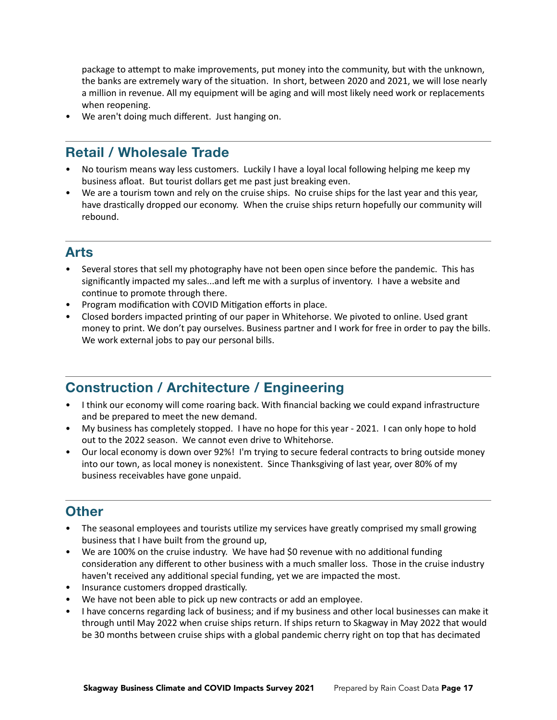package to attempt to make improvements, put money into the community, but with the unknown, the banks are extremely wary of the situation. In short, between 2020 and 2021, we will lose nearly a million in revenue. All my equipment will be aging and will most likely need work or replacements when reopening.

We aren't doing much different. Just hanging on.

#### **Retail / Wholesale Trade**

- No tourism means way less customers. Luckily I have a loyal local following helping me keep my business afloat. But tourist dollars get me past just breaking even.
- We are a tourism town and rely on the cruise ships. No cruise ships for the last year and this year, have drastically dropped our economy. When the cruise ships return hopefully our community will rebound.

#### **Arts**

- Several stores that sell my photography have not been open since before the pandemic. This has significantly impacted my sales...and left me with a surplus of inventory. I have a website and continue to promote through there.
- Program modification with COVID Mitigation efforts in place.
- Closed borders impacted printing of our paper in Whitehorse. We pivoted to online. Used grant money to print. We don't pay ourselves. Business partner and I work for free in order to pay the bills. We work external jobs to pay our personal bills.

#### **Construction / Architecture / Engineering**

- I think our economy will come roaring back. With financial backing we could expand infrastructure and be prepared to meet the new demand.
- My business has completely stopped. I have no hope for this year 2021. I can only hope to hold out to the 2022 season. We cannot even drive to Whitehorse.
- Our local economy is down over 92%! I'm trying to secure federal contracts to bring outside money into our town, as local money is nonexistent. Since Thanksgiving of last year, over 80% of my business receivables have gone unpaid.

#### **Other**

- The seasonal employees and tourists utilize my services have greatly comprised my small growing business that I have built from the ground up,
- We are 100% on the cruise industry. We have had \$0 revenue with no additional funding consideration any different to other business with a much smaller loss. Those in the cruise industry haven't received any additional special funding, yet we are impacted the most.
- Insurance customers dropped drastically.
- We have not been able to pick up new contracts or add an employee.
- I have concerns regarding lack of business; and if my business and other local businesses can make it through until May 2022 when cruise ships return. If ships return to Skagway in May 2022 that would be 30 months between cruise ships with a global pandemic cherry right on top that has decimated